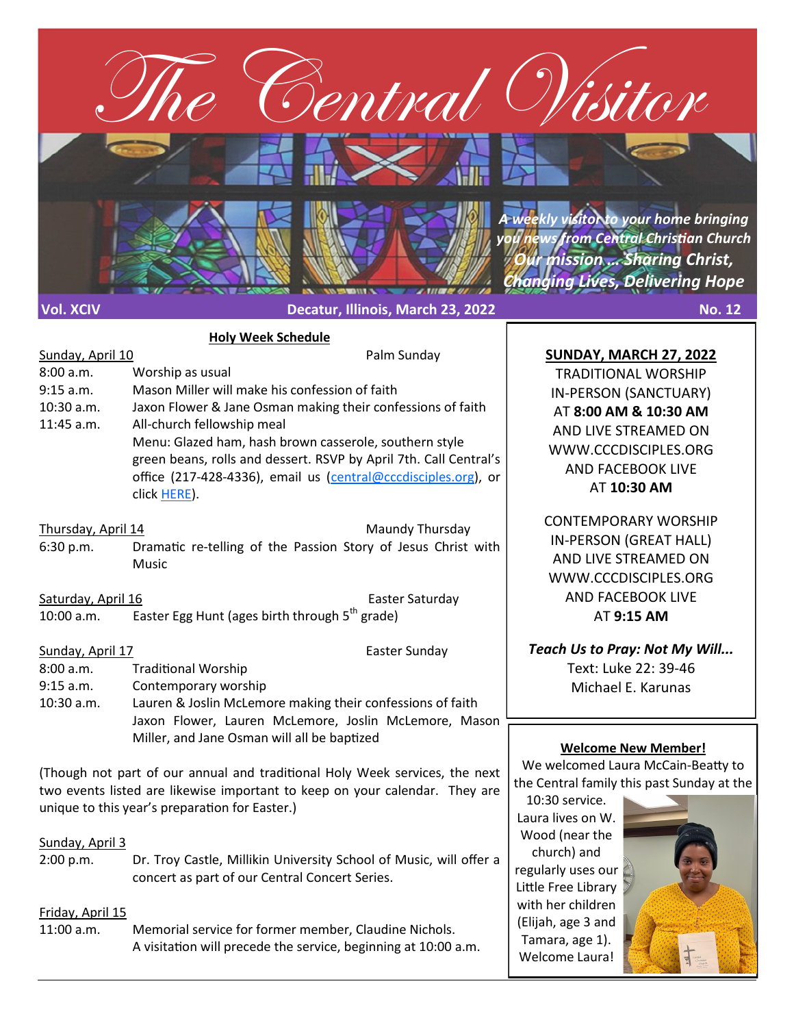

### **Holy Week Schedule**

| Sunday, April 10   | Palm Sunday                                                       |  |  |
|--------------------|-------------------------------------------------------------------|--|--|
| 8:00 a.m.          | Worship as usual                                                  |  |  |
| $9:15$ a.m.        | Mason Miller will make his confession of faith                    |  |  |
| $10:30$ a.m.       | Jaxon Flower & Jane Osman making their confessions of faith       |  |  |
| $11:45$ a.m.       | All-church fellowship meal                                        |  |  |
|                    | Menu: Glazed ham, hash brown casserole, southern style            |  |  |
|                    | green beans, rolls and dessert. RSVP by April 7th. Call Central's |  |  |
|                    | office (217-428-4336), email us (central@cccdisciples.org), or    |  |  |
|                    | click HERE).                                                      |  |  |
|                    |                                                                   |  |  |
| Thursday, April 14 | Maundy Thursday                                                   |  |  |
| 6:30 p.m.          | Dramatic re-telling of the Passion Story of Jesus Christ with     |  |  |
|                    | Music                                                             |  |  |
|                    |                                                                   |  |  |
| Saturday, April 16 | Easter Saturday                                                   |  |  |
| $10:00$ a.m.       | Easter Egg Hunt (ages birth through 5 <sup>th</sup> grade)        |  |  |
|                    |                                                                   |  |  |

Sunday, April 17 **Easter Sunday** 

- 8:00 a.m. Traditional Worship
- 9:15 a.m. Contemporary worship
- 10:30 a.m. Lauren & Joslin McLemore making their confessions of faith Jaxon Flower, Lauren McLemore, Joslin McLemore, Mason Miller, and Jane Osman will all be baptized

(Though not part of our annual and traditional Holy Week services, the next two events listed are likewise important to keep on your calendar. They are unique to this year's preparation for Easter.)

## Sunday, April 3

2:00 p.m. Dr. Troy Castle, Millikin University School of Music, will offer a concert as part of our Central Concert Series.

# Friday, April 15

11:00 a.m. Memorial service for former member, Claudine Nichols. A visitation will precede the service, beginning at 10:00 a.m.

# **SUNDAY, MARCH 27, 2022**

TRADITIONAL WORSHIP IN-PERSON (SANCTUARY) AT **8:00 AM & 10:30 AM**  AND LIVE STREAMED ON WWW.CCCDISCIPLES.ORG AND FACEBOOK LIVE AT **10:30 AM**

CONTEMPORARY WORSHIP IN-PERSON (GREAT HALL) AND LIVE STREAMED ON WWW.CCCDISCIPLES.ORG AND FACEBOOK LIVE AT **9:15 AM**

*Teach Us to Pray: Not My Will...* Text: Luke 22: 39-46 Michael E. Karunas

# **Welcome New Member!**

We welcomed Laura McCain-Beatty to the Central family this past Sunday at the

10:30 service. Laura lives on W. Wood (near the church) and regularly uses our Little Free Library with her children (Elijah, age 3 and Tamara, age 1). Welcome Laura!

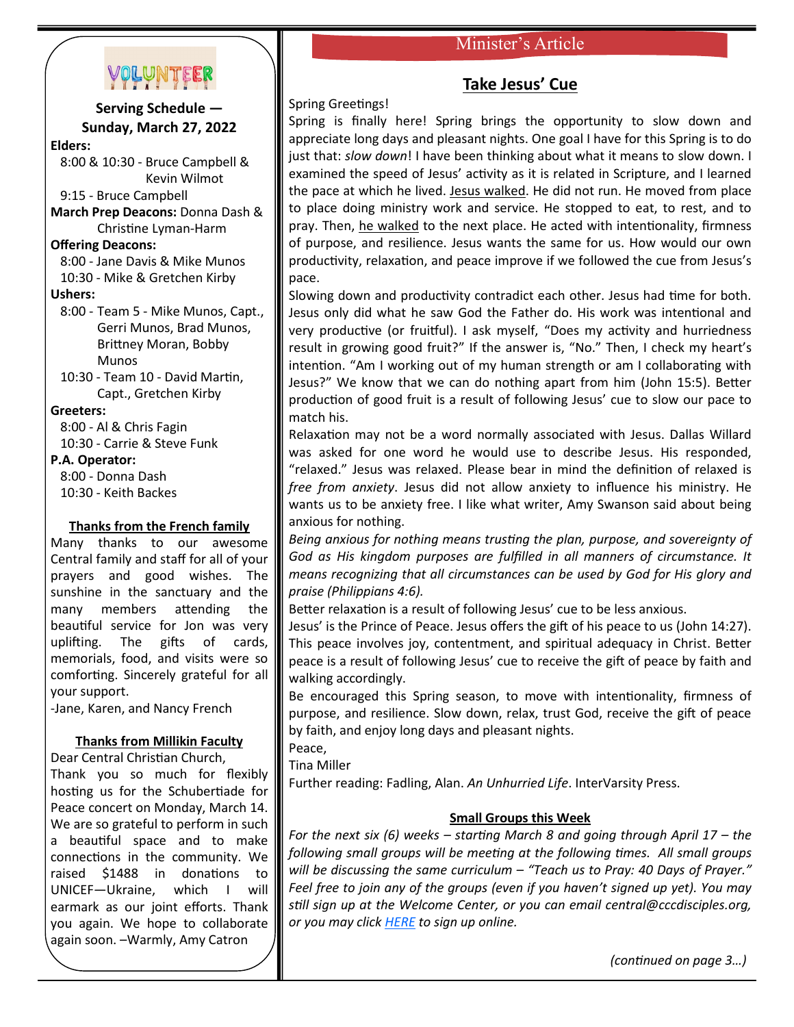# Minister's Article



**Serving Schedule — Sunday, March 27, 2022 Elders:** 8:00 & 10:30 - Bruce Campbell & Kevin Wilmot 9:15 - Bruce Campbell **March Prep Deacons:** Donna Dash & Christine Lyman-Harm **Offering Deacons:** 8:00 - Jane Davis & Mike Munos 10:30 - Mike & Gretchen Kirby **Ushers:** 8:00 - Team 5 - Mike Munos, Capt., Gerri Munos, Brad Munos, Brittney Moran, Bobby Munos 10:30 - Team 10 - David Martin, Capt., Gretchen Kirby **Greeters:** 8:00 - Al & Chris Fagin

10:30 - Carrie & Steve Funk

#### **P.A. Operator:**

 8:00 - Donna Dash 10:30 - Keith Backes

### **Thanks from the French family**

Many thanks to our awesome Central family and staff for all of your prayers and good wishes. The sunshine in the sanctuary and the many members attending the beautiful service for Jon was very uplifting. The gifts of cards, memorials, food, and visits were so comforting. Sincerely grateful for all your support.

-Jane, Karen, and Nancy French

### **Thanks from Millikin Faculty**

Dear Central Christian Church, Thank you so much for flexibly hosting us for the Schubertiade for Peace concert on Monday, March 14. We are so grateful to perform in such a beautiful space and to make connections in the community. We raised \$1488 in donations to UNICEF—Ukraine, which I will earmark as our joint efforts. Thank you again. We hope to collaborate again soon. –Warmly, Amy Catron

# **Take Jesus' Cue**

Spring Greetings!

Spring is finally here! Spring brings the opportunity to slow down and appreciate long days and pleasant nights. One goal I have for this Spring is to do just that: *slow down*! I have been thinking about what it means to slow down. I examined the speed of Jesus' activity as it is related in Scripture, and I learned the pace at which he lived. Jesus walked. He did not run. He moved from place to place doing ministry work and service. He stopped to eat, to rest, and to pray. Then, he walked to the next place. He acted with intentionality, firmness of purpose, and resilience. Jesus wants the same for us. How would our own productivity, relaxation, and peace improve if we followed the cue from Jesus's pace.

Slowing down and productivity contradict each other. Jesus had time for both. Jesus only did what he saw God the Father do. His work was intentional and very productive (or fruitful). I ask myself, "Does my activity and hurriedness result in growing good fruit?" If the answer is, "No." Then, I check my heart's intention. "Am I working out of my human strength or am I collaborating with Jesus?" We know that we can do nothing apart from him (John 15:5). Better production of good fruit is a result of following Jesus' cue to slow our pace to match his.

Relaxation may not be a word normally associated with Jesus. Dallas Willard was asked for one word he would use to describe Jesus. His responded, "relaxed." Jesus was relaxed. Please bear in mind the definition of relaxed is *free from anxiety*. Jesus did not allow anxiety to influence his ministry. He wants us to be anxiety free. I like what writer, Amy Swanson said about being anxious for nothing.

*Being anxious for nothing means trusting the plan, purpose, and sovereignty of God as His kingdom purposes are fulfilled in all manners of circumstance. It means recognizing that all circumstances can be used by God for His glory and praise (Philippians 4:6).*

Better relaxation is a result of following Jesus' cue to be less anxious.

Jesus' is the Prince of Peace. Jesus offers the gift of his peace to us (John 14:27). This peace involves joy, contentment, and spiritual adequacy in Christ. Better peace is a result of following Jesus' cue to receive the gift of peace by faith and walking accordingly.

Be encouraged this Spring season, to move with intentionality, firmness of purpose, and resilience. Slow down, relax, trust God, receive the gift of peace by faith, and enjoy long days and pleasant nights.

Peace,

Tina Miller

Further reading: Fadling, Alan. *An Unhurried Life*. InterVarsity Press.

### **Small Groups this Week**

*For the next six (6) weeks – starting March 8 and going through April 17 – the following small groups will be meeting at the following times. All small groups will be discussing the same curriculum – "Teach us to Pray: 40 Days of Prayer." Feel free to join any of the groups (even if you haven't signed up yet). You may still sign up at the Welcome Center, or you can email central@cccdisciples.org, or you may click [HERE](https://cccdisciples.shelbynextchms.com/external/form/df15e8c1-5448-47e5-a185-f4aef9f7f43b) to sign up online.*

*(continued on page 3…)*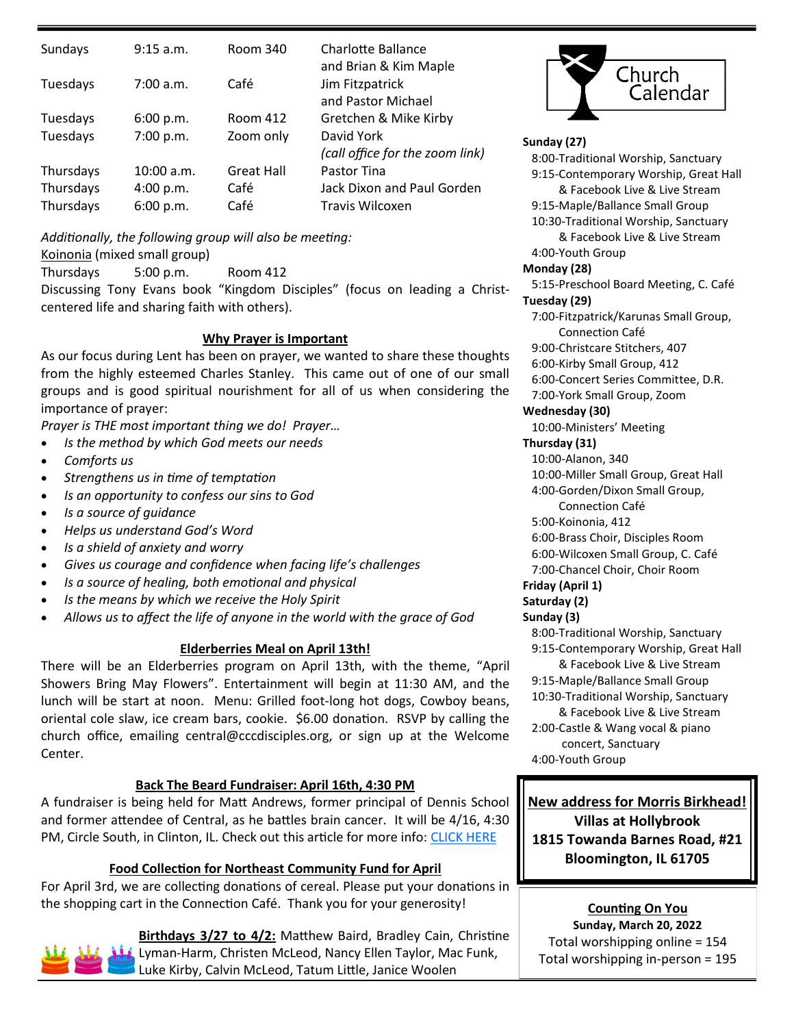| Sundays                | 9:15 a.m.              | Room 340          | Charlotte Ballance<br>and Brian & Kim Maple   |
|------------------------|------------------------|-------------------|-----------------------------------------------|
| Tuesdays               | 7:00 a.m.              | Café              | Jim Fitzpatrick<br>and Pastor Michael         |
| Tuesdays               | 6:00 p.m.              | Room 412          | Gretchen & Mike Kirby                         |
| Tuesdays               | 7:00 p.m.              | Zoom only         | David York<br>(call office for the zoom link) |
| Thursdays              | 10:00 a.m.             | <b>Great Hall</b> | Pastor Tina                                   |
| Thursdays<br>Thursdays | 4:00 p.m.<br>6:00 p.m. | Café<br>Café      | Jack Dixon and Paul Gorden<br>Travis Wilcoxen |

*Additionally, the following group will also be meeting:* Koinonia (mixed small group)

Thursdays 5:00 p.m. Room 412

Discussing Tony Evans book "Kingdom Disciples" (focus on leading a Christcentered life and sharing faith with others).

### **Why Prayer is Important**

As our focus during Lent has been on prayer, we wanted to share these thoughts from the highly esteemed Charles Stanley. This came out of one of our small groups and is good spiritual nourishment for all of us when considering the importance of prayer:

*Prayer is THE most important thing we do! Prayer…*

- *Is the method by which God meets our needs*
- *Comforts us*
- *Strengthens us in time of temptation*
- *Is an opportunity to confess our sins to God*
- *Is a source of guidance*
- *Helps us understand God's Word*
- *Is a shield of anxiety and worry*
- *Gives us courage and confidence when facing life's challenges*
- *Is a source of healing, both emotional and physical*
- *Is the means by which we receive the Holy Spirit*
- *Allows us to affect the life of anyone in the world with the grace of God*

### **Elderberries Meal on April 13th!**

There will be an Elderberries program on April 13th, with the theme, "April Showers Bring May Flowers". Entertainment will begin at 11:30 AM, and the lunch will be start at noon. Menu: Grilled foot-long hot dogs, Cowboy beans, oriental cole slaw, ice cream bars, cookie. \$6.00 donation. RSVP by calling the church office, emailing central@cccdisciples.org, or sign up at the Welcome Center.

### **Back The Beard Fundraiser: April 16th, 4:30 PM**

A fundraiser is being held for Matt Andrews, former principal of Dennis School and former attendee of Central, as he battles brain cancer. It will be 4/16, 4:30 PM, Circle South, in Clinton, IL. Check out this article for more info: [CLICK HERE](https://herald-review.com/news/local/education/back-the-beard-fundraiser-planned-for-former-dennis-school-principal/article_fc242821-c7db-55a3-8f71-31b726511fb9.html)

### **Food Collection for Northeast Community Fund for April**

For April 3rd, we are collecting donations of cereal. Please put your donations in the shopping cart in the Connection Café. Thank you for your generosity!



**Birthdays 3/27 to 4/2:** Matthew Baird, Bradley Cain, Christine Lyman-Harm, Christen McLeod, Nancy Ellen Taylor, Mac Funk, Luke Kirby, Calvin McLeod, Tatum Little, Janice Woolen



**Sunday (27)**

#### 8:00-Traditional Worship, Sanctuary 9:15-Contemporary Worship, Great Hall & Facebook Live & Live Stream 9:15-Maple/Ballance Small Group 10:30-Traditional Worship, Sanctuary & Facebook Live & Live Stream 4:00-Youth Group **Monday (28)** 5:15-Preschool Board Meeting, C. Café **Tuesday (29)** 7:00-Fitzpatrick/Karunas Small Group, Connection Café 9:00-Christcare Stitchers, 407 6:00-Kirby Small Group, 412 6:00-Concert Series Committee, D.R. 7:00-York Small Group, Zoom **Wednesday (30)** 10:00-Ministers' Meeting **Thursday (31)** 10:00-Alanon, 340 10:00-Miller Small Group, Great Hall 4:00-Gorden/Dixon Small Group, Connection Café 5:00-Koinonia, 412 6:00-Brass Choir, Disciples Room 6:00-Wilcoxen Small Group, C. Café 7:00-Chancel Choir, Choir Room **Friday (April 1) Saturday (2) Sunday (3)** 8:00-Traditional Worship, Sanctuary 9:15-Contemporary Worship, Great Hall & Facebook Live & Live Stream 9:15-Maple/Ballance Small Group 10:30-Traditional Worship, Sanctuary & Facebook Live & Live Stream

 2:00-Castle & Wang vocal & piano concert, Sanctuary 4:00-Youth Group

### **New address for Morris Birkhead!**

**Villas at Hollybrook 1815 Towanda Barnes Road, #21 Bloomington, IL 61705**

# **Counting On You**

**Sunday, March 20, 2022** Total worshipping online = 154 Total worshipping in-person = 195